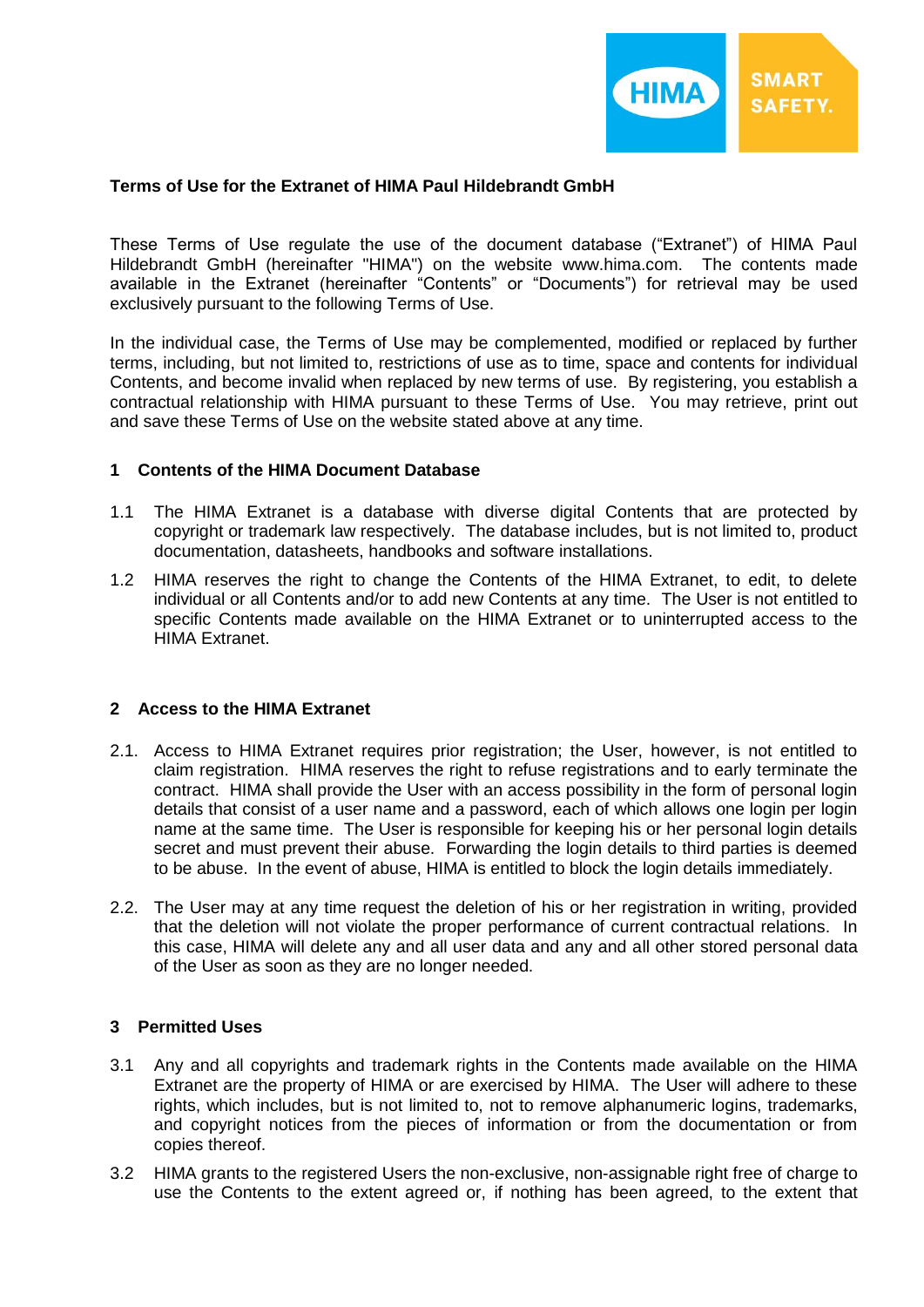

### **Terms of Use for the Extranet of HIMA Paul Hildebrandt GmbH**

These Terms of Use regulate the use of the document database ("Extranet") of HIMA Paul Hildebrandt GmbH (hereinafter "HIMA") on the website www.hima.com. The contents made available in the Extranet (hereinafter "Contents" or "Documents") for retrieval may be used exclusively pursuant to the following Terms of Use.

In the individual case, the Terms of Use may be complemented, modified or replaced by further terms, including, but not limited to, restrictions of use as to time, space and contents for individual Contents, and become invalid when replaced by new terms of use. By registering, you establish a contractual relationship with HIMA pursuant to these Terms of Use. You may retrieve, print out and save these Terms of Use on the website stated above at any time.

#### **1 Contents of the HIMA Document Database**

- 1.1 The HIMA Extranet is a database with diverse digital Contents that are protected by copyright or trademark law respectively. The database includes, but is not limited to, product documentation, datasheets, handbooks and software installations.
- 1.2 HIMA reserves the right to change the Contents of the HIMA Extranet, to edit, to delete individual or all Contents and/or to add new Contents at any time. The User is not entitled to specific Contents made available on the HIMA Extranet or to uninterrupted access to the HIMA Extranet.

#### **2 Access to the HIMA Extranet**

- 2.1. Access to HIMA Extranet requires prior registration; the User, however, is not entitled to claim registration. HIMA reserves the right to refuse registrations and to early terminate the contract. HIMA shall provide the User with an access possibility in the form of personal login details that consist of a user name and a password, each of which allows one login per login name at the same time. The User is responsible for keeping his or her personal login details secret and must prevent their abuse. Forwarding the login details to third parties is deemed to be abuse. In the event of abuse, HIMA is entitled to block the login details immediately.
- 2.2. The User may at any time request the deletion of his or her registration in writing, provided that the deletion will not violate the proper performance of current contractual relations. In this case, HIMA will delete any and all user data and any and all other stored personal data of the User as soon as they are no longer needed.

### **3 Permitted Uses**

- 3.1 Any and all copyrights and trademark rights in the Contents made available on the HIMA Extranet are the property of HIMA or are exercised by HIMA. The User will adhere to these rights, which includes, but is not limited to, not to remove alphanumeric logins, trademarks, and copyright notices from the pieces of information or from the documentation or from copies thereof.
- 3.2 HIMA grants to the registered Users the non-exclusive, non-assignable right free of charge to use the Contents to the extent agreed or, if nothing has been agreed, to the extent that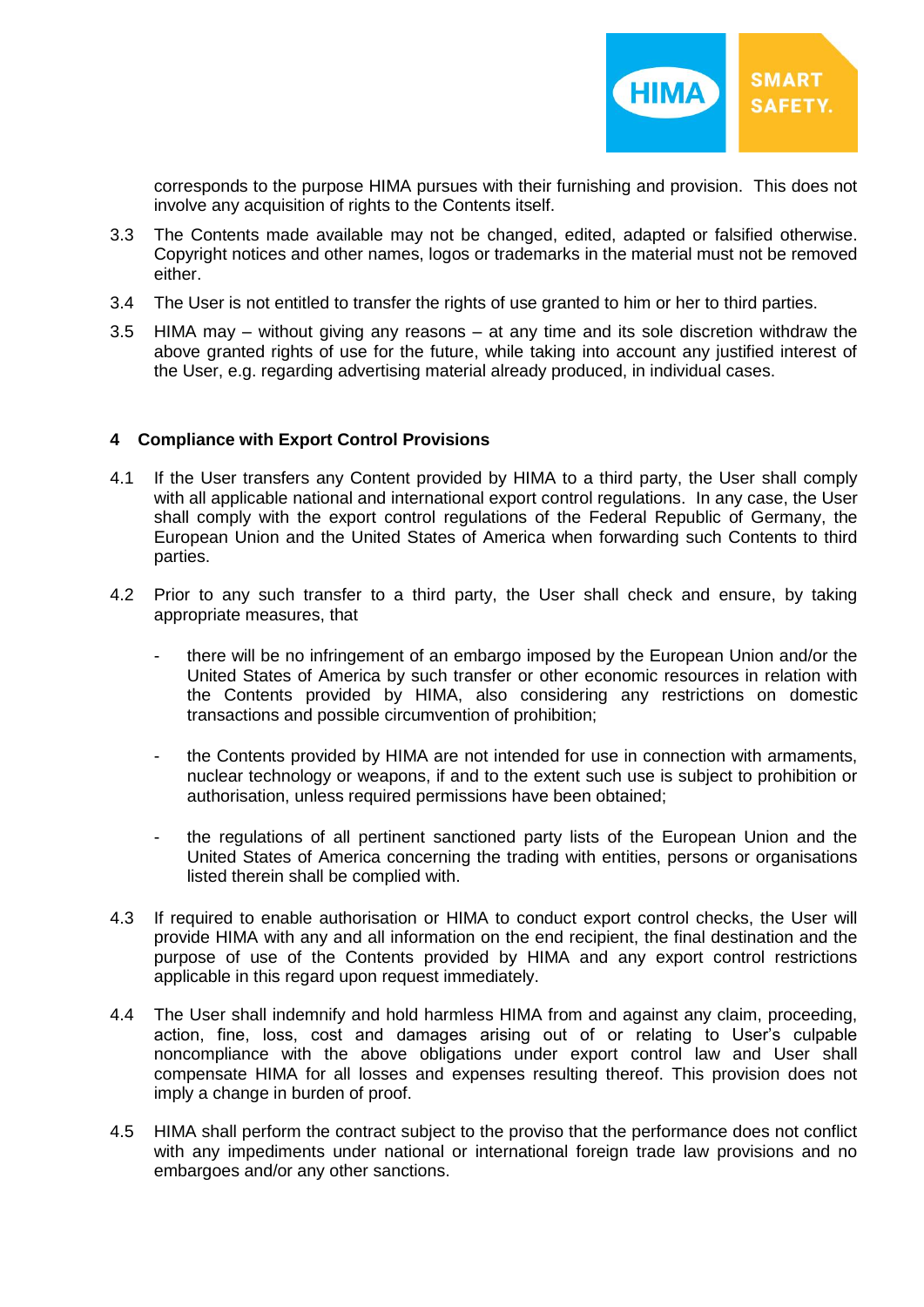

corresponds to the purpose HIMA pursues with their furnishing and provision. This does not involve any acquisition of rights to the Contents itself.

- 3.3 The Contents made available may not be changed, edited, adapted or falsified otherwise. Copyright notices and other names, logos or trademarks in the material must not be removed either.
- 3.4 The User is not entitled to transfer the rights of use granted to him or her to third parties.
- 3.5 HIMA may without giving any reasons at any time and its sole discretion withdraw the above granted rights of use for the future, while taking into account any justified interest of the User, e.g. regarding advertising material already produced, in individual cases.

### **4 Compliance with Export Control Provisions**

- 4.1 If the User transfers any Content provided by HIMA to a third party, the User shall comply with all applicable national and international export control regulations. In any case, the User shall comply with the export control regulations of the Federal Republic of Germany, the European Union and the United States of America when forwarding such Contents to third parties.
- 4.2 Prior to any such transfer to a third party, the User shall check and ensure, by taking appropriate measures, that
	- there will be no infringement of an embargo imposed by the European Union and/or the United States of America by such transfer or other economic resources in relation with the Contents provided by HIMA, also considering any restrictions on domestic transactions and possible circumvention of prohibition;
	- the Contents provided by HIMA are not intended for use in connection with armaments, nuclear technology or weapons, if and to the extent such use is subject to prohibition or authorisation, unless required permissions have been obtained;
	- the regulations of all pertinent sanctioned party lists of the European Union and the United States of America concerning the trading with entities, persons or organisations listed therein shall be complied with.
- 4.3 If required to enable authorisation or HIMA to conduct export control checks, the User will provide HIMA with any and all information on the end recipient, the final destination and the purpose of use of the Contents provided by HIMA and any export control restrictions applicable in this regard upon request immediately.
- 4.4 The User shall indemnify and hold harmless HIMA from and against any claim, proceeding, action, fine, loss, cost and damages arising out of or relating to User's culpable noncompliance with the above obligations under export control law and User shall compensate HIMA for all losses and expenses resulting thereof. This provision does not imply a change in burden of proof.
- 4.5 HIMA shall perform the contract subject to the proviso that the performance does not conflict with any impediments under national or international foreign trade law provisions and no embargoes and/or any other sanctions.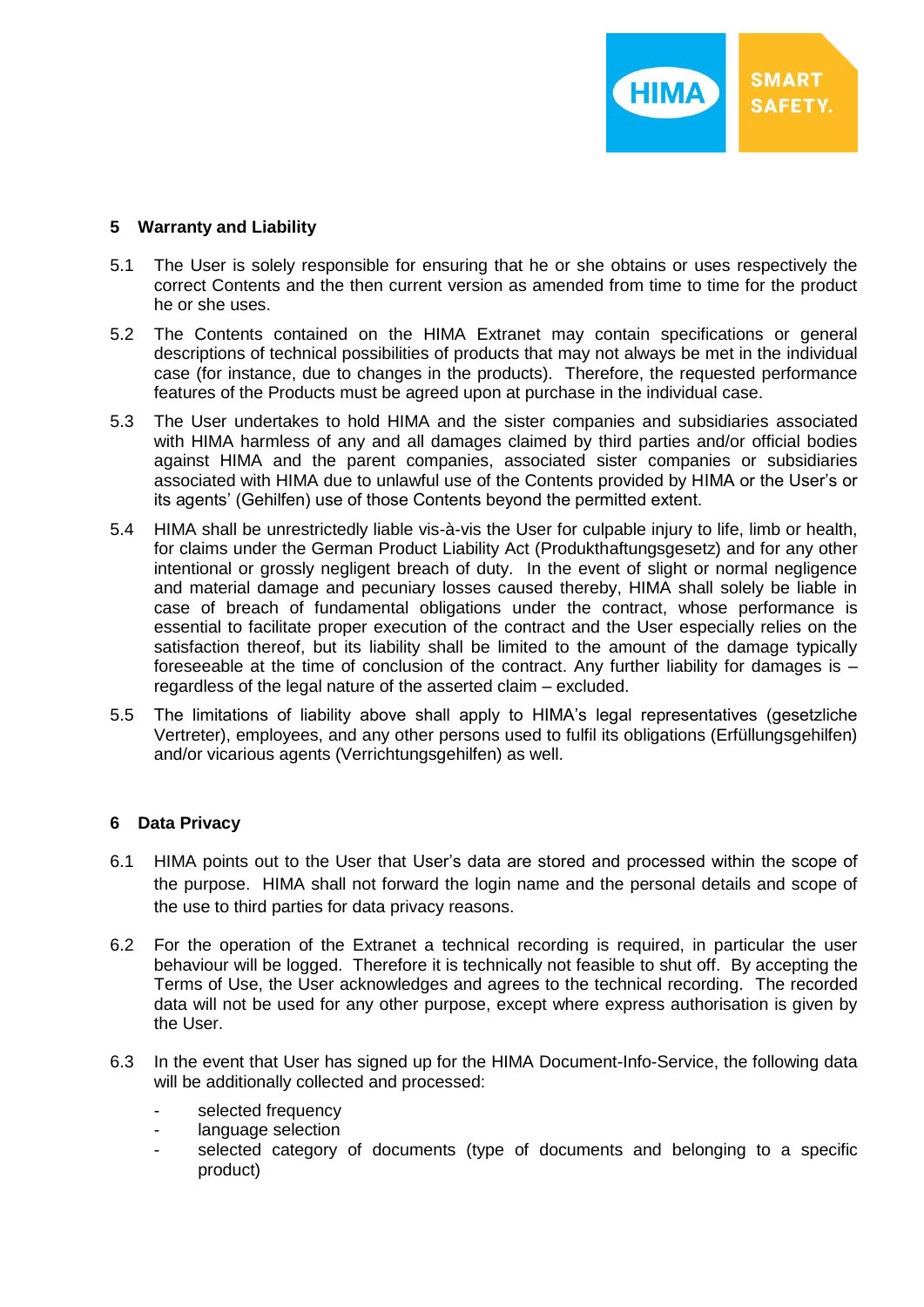## **5 Warranty and Liability**

- 5.1 The User is solely responsible for ensuring that he or she obtains or uses respectively the correct Contents and the then current version as amended from time to time for the product he or she uses.
- 5.2 The Contents contained on the HIMA Extranet may contain specifications or general descriptions of technical possibilities of products that may not always be met in the individual case (for instance, due to changes in the products). Therefore, the requested performance features of the Products must be agreed upon at purchase in the individual case.
- 5.3 The User undertakes to hold HIMA and the sister companies and subsidiaries associated with HIMA harmless of any and all damages claimed by third parties and/or official bodies against HIMA and the parent companies, associated sister companies or subsidiaries associated with HIMA due to unlawful use of the Contents provided by HIMA or the User's or its agents' (Gehilfen) use of those Contents beyond the permitted extent.
- 5.4 HIMA shall be unrestrictedly liable vis-à-vis the User for culpable injury to life, limb or health, for claims under the German Product Liability Act (Produkthaftungsgesetz) and for any other intentional or grossly negligent breach of duty. In the event of slight or normal negligence and material damage and pecuniary losses caused thereby, HIMA shall solely be liable in case of breach of fundamental obligations under the contract, whose performance is essential to facilitate proper execution of the contract and the User especially relies on the satisfaction thereof, but its liability shall be limited to the amount of the damage typically foreseeable at the time of conclusion of the contract. Any further liability for damages is  $$ regardless of the legal nature of the asserted claim – excluded.
- 5.5 The limitations of liability above shall apply to HIMA's legal representatives (gesetzliche Vertreter), employees, and any other persons used to fulfil its obligations (Erfüllungsgehilfen) and/or vicarious agents (Verrichtungsgehilfen) as well.

# **6 Data Privacy**

- 6.1 HIMA points out to the User that User's data are stored and processed within the scope of the purpose. HIMA shall not forward the login name and the personal details and scope of the use to third parties for data privacy reasons.
- 6.2 For the operation of the Extranet a technical recording is required, in particular the user behaviour will be logged. Therefore it is technically not feasible to shut off. By accepting the Terms of Use, the User acknowledges and agrees to the technical recording. The recorded data will not be used for any other purpose, except where express authorisation is given by the User.
- 6.3 In the event that User has signed up for the HIMA Document-Info-Service, the following data will be additionally collected and processed:
	- selected frequency
	- language selection
	- selected category of documents (type of documents and belonging to a specific product)